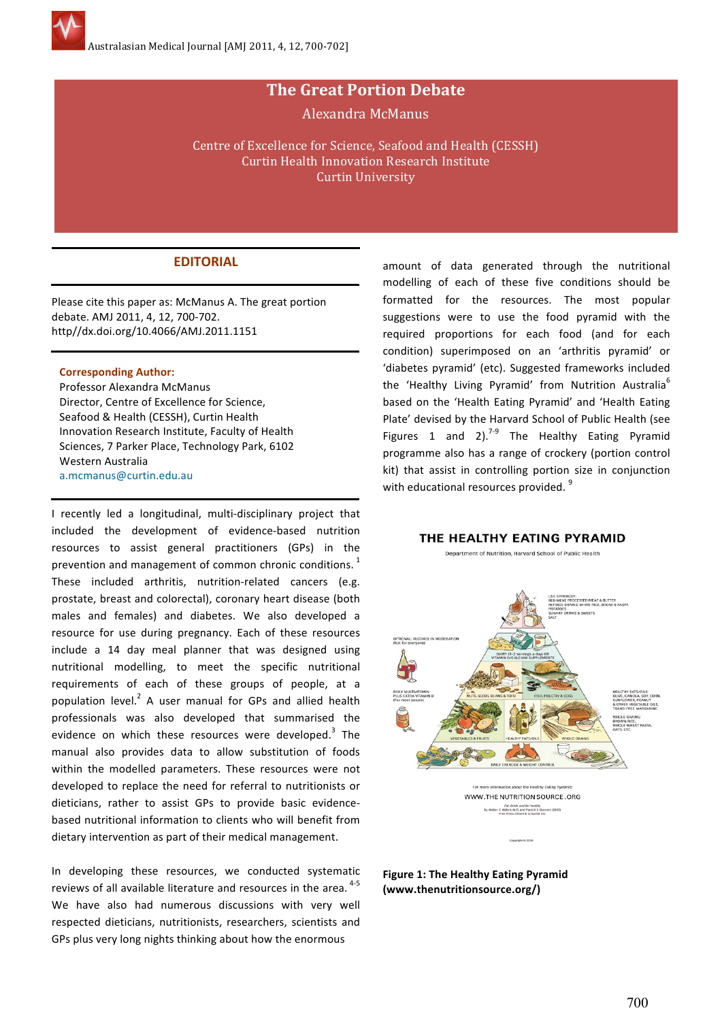# **The Great Portion Debate**

Alexandra!McManus

Centre of Excellence for Science, Seafood and Health (CESSH) Curtin Health Innovation Research Institute **Curtin University** 

## **EDITORIAL**

Please cite this paper as: McManus A. The great portion debate. AMJ 2011, 4, 12, 700-702. http//dx.doi.org/10.4066/AMJ.2011.1151

#### **Corresponding Author:**

Professor Alexandra McManus Director, Centre of Excellence for Science. Seafood & Health (CESSH), Curtin Health Innovation Research Institute, Faculty of Health Sciences, 7 Parker Place, Technology Park, 6102 Western Australia a.mcmanus@curtin.edu.au

I recently led a longitudinal, multi-disciplinary project that included the development of evidence-based nutrition resources to assist general practitioners (GPs) in the prevention and management of common chronic conditions.<sup>1</sup> These included arthritis, nutrition-related cancers (e.g. prostate, breast and colorectal), coronary heart disease (both males and females) and diabetes. We also developed a resource for use during pregnancy. Each of these resources include a 14 day meal planner that was designed using nutritional modelling, to meet the specific nutritional requirements of each of these groups of people, at a population level.<sup>2</sup> A user manual for GPs and allied health professionals was also developed that summarised the evidence on which these resources were developed.<sup>3</sup> The manual also provides data to allow substitution of foods within the modelled parameters. These resources were not developed to replace the need for referral to nutritionists or dieticians, rather to assist GPs to provide basic evidencebased nutritional information to clients who will benefit from dietary intervention as part of their medical management.

In developing these resources, we conducted systematic reviews of all available literature and resources in the area.<sup>4-5</sup> We have also had numerous discussions with very well respected dieticians, nutritionists, researchers, scientists and GPs plus very long nights thinking about how the enormous

amount of data generated through the nutritional modelling of each of these five conditions should be formatted for the resources. The most popular suggestions were to use the food pyramid with the required proportions for each food (and for each condition) superimposed on an 'arthritis pyramid' or 'diabetes pyramid' (etc). Suggested frameworks included the 'Healthy Living Pyramid' from Nutrition Australia<sup>6</sup> based on the 'Health Eating Pyramid' and 'Health Eating Plate' devised by the Harvard School of Public Health (see Figures 1 and 2). $7-9$  The Healthy Eating Pyramid programme also has a range of crockery (portion control kit) that assist in controlling portion size in conjunction with educational resources provided.<sup>9</sup>

#### THE HEALTHY EATING PYRAMID

Department of Nutrition, Harvard School of Public Health



**Figure 1: The Healthy Eating Pyramid (www.thenutritionsource.org/)**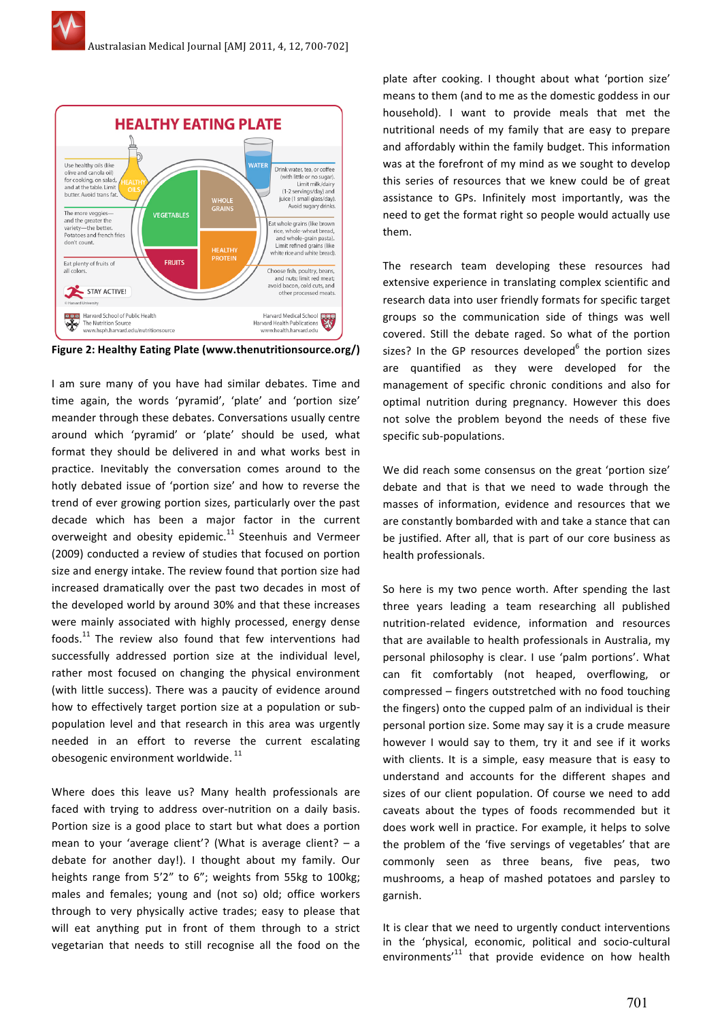



I am sure many of you have had similar debates. Time and time again, the words 'pyramid', 'plate' and 'portion size' meander through these debates. Conversations usually centre around which 'pyramid' or 'plate' should be used, what format they should be delivered in and what works best in practice. Inevitably the conversation comes around to the hotly debated issue of 'portion size' and how to reverse the trend of ever growing portion sizes, particularly over the past decade which has been a major factor in the current overweight and obesity epidemic.<sup>11</sup> Steenhuis and Vermeer (2009) conducted a review of studies that focused on portion size and energy intake. The review found that portion size had increased dramatically over the past two decades in most of the developed world by around 30% and that these increases were mainly associated with highly processed, energy dense foods. $^{11}$  The review also found that few interventions had successfully addressed portion size at the individual level, rather most focused on changing the physical environment (with little success). There was a paucity of evidence around how to effectively target portion size at a population or subpopulation level and that research in this area was urgently needed in an effort to reverse the current escalating obesogenic environment worldwide.<sup>11</sup>

Where does this leave us? Many health professionals are faced with trying to address over-nutrition on a daily basis. Portion size is a good place to start but what does a portion mean to your 'average client'? (What is average client? – a debate for another day!). I thought about my family. Our heights range from 5'2" to 6"; weights from 55kg to 100kg; males and females; young and (not so) old; office workers through to very physically active trades; easy to please that will eat anything put in front of them through to a strict vegetarian that needs to still recognise all the food on the

plate after cooking. I thought about what 'portion size' means to them (and to me as the domestic goddess in our household). I want to provide meals that met the nutritional needs of my family that are easy to prepare and affordably within the family budget. This information was at the forefront of my mind as we sought to develop this series of resources that we knew could be of great assistance to GPs. Infinitely most importantly, was the need to get the format right so people would actually use them.

The research team developing these resources had extensive experience in translating complex scientific and research data into user friendly formats for specific target groups so the communication side of things was well covered. Still the debate raged. So what of the portion sizes? In the GP resources developed<sup>6</sup> the portion sizes are quantified as they were developed for the management of specific chronic conditions and also for optimal nutrition during pregnancy. However this does not solve the problem beyond the needs of these five specific sub-populations.

We did reach some consensus on the great 'portion size' debate and that is that we need to wade through the masses of information, evidence and resources that we are constantly bombarded with and take a stance that can be justified. After all, that is part of our core business as health professionals.

So here is my two pence worth. After spending the last three years leading a team researching all published nutrition-related evidence, information and resources that are available to health professionals in Australia, my personal philosophy is clear. I use 'palm portions'. What can fit comfortably (not heaped, overflowing, or compressed – fingers outstretched with no food touching the fingers) onto the cupped palm of an individual is their personal portion size. Some may say it is a crude measure however I would say to them, try it and see if it works with clients. It is a simple, easy measure that is easy to understand and accounts for the different shapes and sizes of our client population. Of course we need to add caveats about the types of foods recommended but it does work well in practice. For example, it helps to solve the problem of the 'five servings of vegetables' that are commonly seen as three beans, five peas, two mushrooms, a heap of mashed potatoes and parsley to garnish.!

It is clear that we need to urgently conduct interventions in the 'physical, economic, political and socio-cultural environments<sup> $11$ </sup> that provide evidence on how health